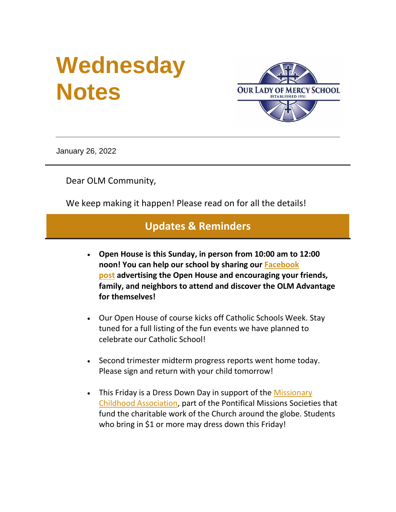# **Wednesday Notes**



January 26, 2022

Dear OLM Community,

We keep making it happen! Please read on for all the details!

#### **Updates & Reminders**

- **Open House is this Sunday, in person from 10:00 am to 12:00 noon! You can help our school by sharing our [Facebook](https://r20.rs6.net/tn.jsp?f=001OvR-c9UOKLj0J-zsXijXAHKiQWRaesUyTBpugAB_nFaG1qvTn048aSI7JlQ_a6teDnEim_ENR7SulScSuRzLbGMn7509LXOvg0h_EonQQiLHHYQIuVHPEjHX5Zm9Dt0Yksj8qNzF-WwMtnNrFh8nseJMuzWcTrWu&c=&ch=)  [post](https://r20.rs6.net/tn.jsp?f=001OvR-c9UOKLj0J-zsXijXAHKiQWRaesUyTBpugAB_nFaG1qvTn048aSI7JlQ_a6teDnEim_ENR7SulScSuRzLbGMn7509LXOvg0h_EonQQiLHHYQIuVHPEjHX5Zm9Dt0Yksj8qNzF-WwMtnNrFh8nseJMuzWcTrWu&c=&ch=) advertising the Open House and encouraging your friends, family, and neighbors to attend and discover the OLM Advantage for themselves!**
- Our Open House of course kicks off Catholic Schools Week. Stay tuned for a full listing of the fun events we have planned to celebrate our Catholic School!
- Second trimester midterm progress reports went home today. Please sign and return with your child tomorrow!
- This Friday is a Dress Down Day in support of the Missionary [Childhood Association,](https://r20.rs6.net/tn.jsp?f=001OvR-c9UOKLj0J-zsXijXAHKiQWRaesUyTBpugAB_nFaG1qvTn048aUDBStsqHQDQyqgTINrnqMhG2S1UK59ao3QzFV3qyncs8lBWLjECjZYlJnkPuqyJY1VhbqRk937FzjCoHUsuynPhi9f0aJImT9Y1dVG8G5a71-pMPIOKTbiLc79CN8mjsgqUjsbGznYrUQA-UePZl6I_UlU15LkY6A==&c=&ch=) part of the Pontifical Missions Societies that fund the charitable work of the Church around the globe. Students who bring in \$1 or more may dress down this Friday!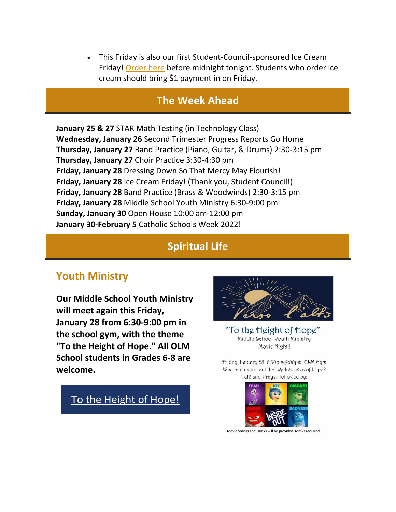• This Friday is also our first Student-Council-sponsored Ice Cream Friday! [Order here](https://r20.rs6.net/tn.jsp?f=001OvR-c9UOKLj0J-zsXijXAHKiQWRaesUyTBpugAB_nFaG1qvTn048aUDBStsqHQDQlUsqiDz8GXvbEuQm_QEG_U9v27zCLBr_WEqDVZRrCyAEuJ3viY_g-fB0NrFl5GIhyJjS0eW0OEIrwEXT9Hvve6hj431s9__bVnTgxNXQHF7Azl_It7wmlN0DmYjrMrbp8MqJs3zHounnPV1rZ7LPyAJev2XiarSPFmUOEjiOJ_0_bTFFOuRjagoISqgjc358VO7FQwXac-MPYF8HuwKBrQ==&c=&ch=) before midnight tonight. Students who order ice cream should bring \$1 payment in on Friday.

#### **The Week Ahead**

**January 25 & 27** STAR Math Testing (in Technology Class) **Wednesday, January 26** Second Trimester Progress Reports Go Home **Thursday, January 27** Band Practice (Piano, Guitar, & Drums) 2:30-3:15 pm **Thursday, January 27** Choir Practice 3:30-4:30 pm **Friday, January 28** Dressing Down So That Mercy May Flourish! **Friday, January 28** Ice Cream Friday! (Thank you, Student Council!) **Friday, January 28** Band Practice (Brass & Woodwinds) 2:30-3:15 pm **Friday, January 28** Middle School Youth Ministry 6:30-9:00 pm **Sunday, January 30** Open House 10:00 am-12:00 pm **January 30-February 5** Catholic Schools Week 2022!

#### **Spiritual Life**

#### **Youth Ministry**

**Our Middle School Youth Ministry will meet again this Friday, January 28 from 6:30-9:00 pm in the school gym, with the theme "To the Height of Hope." All OLM School students in Grades 6-8 are welcome.**

[To the Height of Hope!](https://r20.rs6.net/tn.jsp?f=001OvR-c9UOKLj0J-zsXijXAHKiQWRaesUyTBpugAB_nFaG1qvTn048ae8p8GdA-CgmNeAFtqzw_GPiajmmYlapBnBmy_Nll-DLCz82y5Pu-HxbrcivmRCuxs0ZdtAcTfjCRufOoFI0ZWR24HJLU6OjmlwdW0dQbkVrr42G3jzgQyS4wD9st80j4pdawtobzXJHoogmSu3zWt0PkrThgBchAVu3oopg3GW6kZSOfUQT8wg=&c=&ch=)

"To the Height of Hope" Middle School Youth Ministry Movie Night!!

Friday, January 28. 6:30pm-9:00pm, OLM Gym Why is it important that we live lives of hope? Talk and Prayer followed by:



Movie Snacks and Drinks will be provided. Masks required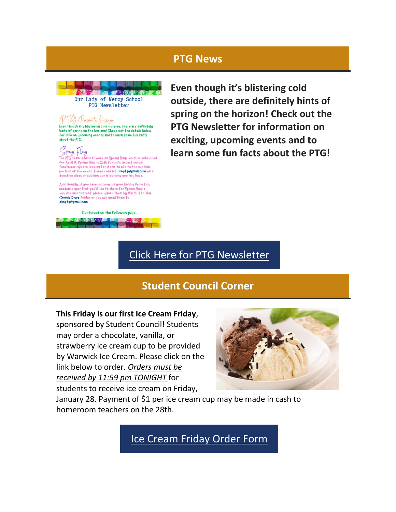#### **PTG News**



**Even though it's blistering cold outside, there are definitely hints of spring on the horizon! Check out the PTG Newsletter for information on exciting, upcoming events and to learn some fun facts about the PTG!**

### [Click Here for PTG Newsletter](https://r20.rs6.net/tn.jsp?f=001OvR-c9UOKLj0J-zsXijXAHKiQWRaesUyTBpugAB_nFaG1qvTn048aUDBStsqHQDQMzWvvXUhIbz0AiwuBioI7rYZKD8q_kfwixFb_rza1dhYLvOAi80jEprBpOP5GyyCpuR6TwNIIShi94BYH6veASVRPF0EFvSpsr2o7ws7On3Igk5Tuv2UWWPWxEqnYJB5eqPhMip9pCRYwsAAHStKWggR6rGzE_AOJNfu1sznPPw=&c=&ch=)

#### **Student Council Corner**

#### **This Friday is our first Ice Cream Friday**,

sponsored by Student Council! Students may order a chocolate, vanilla, or strawberry ice cream cup to be provided by Warwick Ice Cream. Please click on the link below to order. *Orders must be received by 11:59 pm TONIGHT* for students to receive ice cream on Friday,



January 28. Payment of \$1 per ice cream cup may be made in cash to homeroom teachers on the 28th.

[Ice Cream Friday Order Form](https://r20.rs6.net/tn.jsp?f=001OvR-c9UOKLj0J-zsXijXAHKiQWRaesUyTBpugAB_nFaG1qvTn048ae8p8GdA-CgmKXCCryjS82swP5G0ZOo1nJaQdFRUhaaTJyFWbvoKtb0GkMublJjGv6nJOQzDMnBtWfSUvcqskko083_YuwUmHTwfAqs6bfHf&c=&ch=)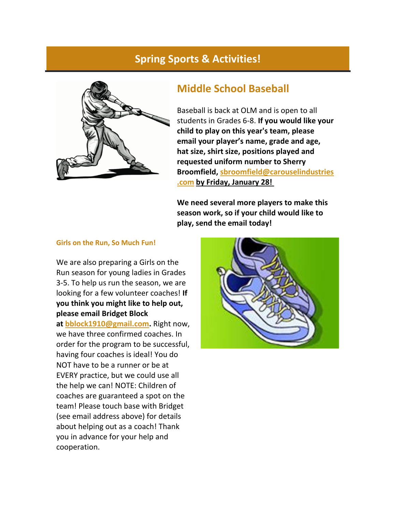#### **Spring Sports & Activities!**



#### **Middle School Baseball**

Baseball is back at OLM and is open to all students in Grades 6-8. **If you would like your child to play on this year's team, please email your player's name, grade and age, hat size, shirt size, positions played and requested uniform number to Sherry Broomfield, [sbroomfield@carouselindustries](mailto:sbroomfield@carouselindustries.com) [.com](mailto:sbroomfield@carouselindustries.com) by Friday, January 28!**

**We need several more players to make this season work, so if your child would like to play, send the email today!**

#### **Girls on the Run, So Much Fun!**

We are also preparing a Girls on the Run season for young ladies in Grades 3-5. To help us run the season, we are looking for a few volunteer coaches! **If you think you might like to help out, please email Bridget Block** 

**at [bblock1910@gmail.com.](mailto:bblock1910@gmail.com)** Right now, we have three confirmed coaches. In order for the program to be successful, having four coaches is ideal! You do NOT have to be a runner or be at EVERY practice, but we could use all the help we can! NOTE: Children of coaches are guaranteed a spot on the team! Please touch base with Bridget (see email address above) for details about helping out as a coach! Thank you in advance for your help and cooperation.

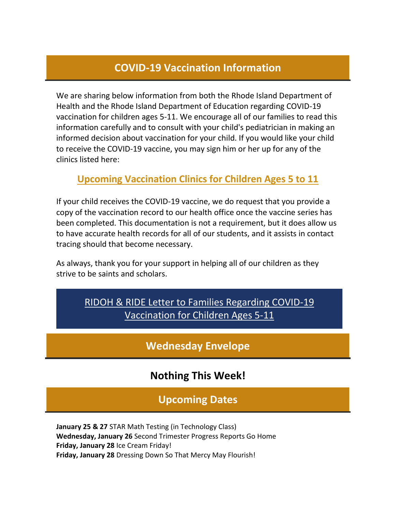## **COVID-19 Vaccination Information**

We are sharing below information from both the Rhode Island Department of Health and the Rhode Island Department of Education regarding COVID-19 vaccination for children ages 5-11. We encourage all of our families to read this information carefully and to consult with your child's pediatrician in making an informed decision about vaccination for your child. If you would like your child to receive the COVID-19 vaccine, you may sign him or her up for any of the clinics listed here:

#### **[Upcoming Vaccination Clinics for Children Ages 5 to 11](https://r20.rs6.net/tn.jsp?f=0014N4QV9E5cR3YtwM5YRq-XP59Qoy8NYyu2xbW_aj0Uj-1I3nD7iNYvJ7BS1sE0dLjHfu_D2WnfeMHY962CoD4Ta3cqgbyxeWYNrg27xxaeiCtZUTm9E1n-_K1WpLODioklNB8g3_9yQ73iO4apYUrXF-zew-SNhk71BXb-HxeXv62E1F2sdpmNHAKdCa3qyP3YFu0b3CMxSMphS37Deditu270ly3n7mXaUnyDHu0lD2KAYoSu0TLkE077F-2k9ML&c=Z_Ay1A0mAhZG5b2afiZpXKcLblpRjj4SEPx14KjU2fLCyab1JgQdqw==&ch=F-ud_nRuLcX7nBS2L5Zg20ReWzXef3deU3i3fPjBewpY_x9DQDglAA==)**

If your child receives the COVID-19 vaccine, we do request that you provide a copy of the vaccination record to our health office once the vaccine series has been completed. This documentation is not a requirement, but it does allow us to have accurate health records for all of our students, and it assists in contact tracing should that become necessary.

As always, thank you for your support in helping all of our children as they strive to be saints and scholars.

> [RIDOH & RIDE Letter to Families Regarding COVID-19](https://r20.rs6.net/tn.jsp?f=001OvR-c9UOKLj0J-zsXijXAHKiQWRaesUyTBpugAB_nFaG1qvTn048adppl-Q9tRwOWIsEHEfm8KzBSbjSKCyfFgpjrNJovM8mE6TU3PT7MM3hUMWOid4t6SvOF3XqkGz7rJs1HVmbJMB8TS6ecT_BBZR2QH-qZjLQNAPL3pgDr_xiJvZQzEuVdPBp7oM5SA-SceLCv-WeIlHRBNJ6Awxf-XcqnE2cegGxu1HtB-uFBCc=&c=&ch=)  [Vaccination for Children Ages 5-11](https://r20.rs6.net/tn.jsp?f=001OvR-c9UOKLj0J-zsXijXAHKiQWRaesUyTBpugAB_nFaG1qvTn048adppl-Q9tRwOWIsEHEfm8KzBSbjSKCyfFgpjrNJovM8mE6TU3PT7MM3hUMWOid4t6SvOF3XqkGz7rJs1HVmbJMB8TS6ecT_BBZR2QH-qZjLQNAPL3pgDr_xiJvZQzEuVdPBp7oM5SA-SceLCv-WeIlHRBNJ6Awxf-XcqnE2cegGxu1HtB-uFBCc=&c=&ch=)

#### **Wednesday Envelope**

#### **Nothing This Week!**

#### **Upcoming Dates**

**January 25 & 27** STAR Math Testing (in Technology Class) **Wednesday, January 26** Second Trimester Progress Reports Go Home **Friday, January 28** Ice Cream Friday! **Friday, January 28** Dressing Down So That Mercy May Flourish!